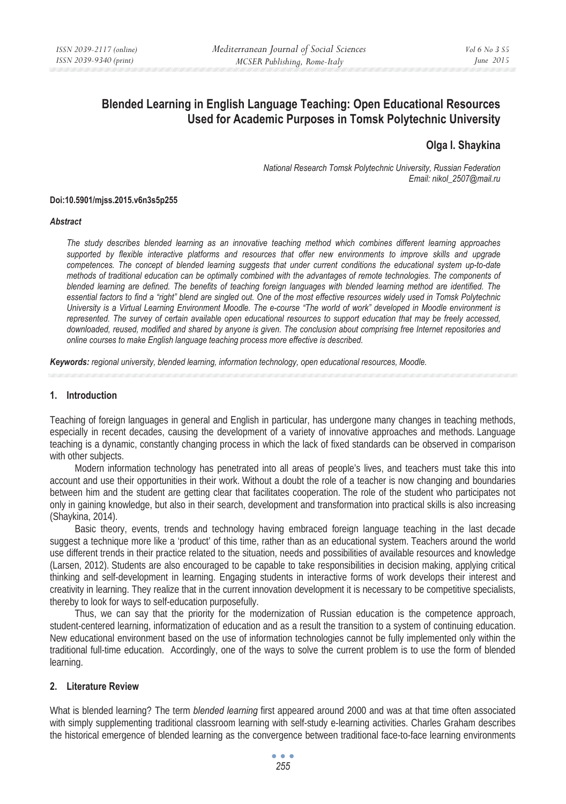# **Blended Learning in English Language Teaching: Open Educational Resources Used for Academic Purposes in Tomsk Polytechnic University**

## **Olga I. Shaykina**

*National Research Tomsk Polytechnic University, Russian Federation Email: nikol\_2507@mail.ru* 

#### **Doi:10.5901/mjss.2015.v6n3s5p255**

#### *Abstract*

*The study describes blended learning as an innovative teaching method which combines different learning approaches supported by flexible interactive platforms and resources that offer new environments to improve skills and upgrade competences. The concept of blended learning suggests that under current conditions the educational system up-to-date methods of traditional education can be optimally combined with the advantages of remote technologies. The components of blended learning are defined. The benefits of teaching foreign languages with blended learning method are identified. The essential factors to find a "right" blend are singled out. One of the most effective resources widely used in Tomsk Polytechnic University is a Virtual Learning Environment Moodle. The e-course "The world of work" developed in Moodle environment is represented. The survey of certain available open educational resources to support education that may be freely accessed, downloaded, reused, modified and shared by anyone is given. The conclusion about comprising free Internet repositories and online courses to make English language teaching process more effective is described.* 

*Keywords: regional university, blended learning, information technology, open educational resources, Moodle.*

#### **1. Introduction**

Teaching of foreign languages in general and English in particular, has undergone many changes in teaching methods, especially in recent decades, causing the development of a variety of innovative approaches and methods. Language teaching is a dynamic, constantly changing process in which the lack of fixed standards can be observed in comparison with other subjects.

Modern information technology has penetrated into all areas of people's lives, and teachers must take this into account and use their opportunities in their work. Without a doubt the role of a teacher is now changing and boundaries between him and the student are getting clear that facilitates cooperation. The role of the student who participates not only in gaining knowledge, but also in their search, development and transformation into practical skills is also increasing (Shaykina, 2014).

Basic theory, events, trends and technology having embraced foreign language teaching in the last decade suggest a technique more like a 'product' of this time, rather than as an educational system. Teachers around the world use different trends in their practice related to the situation, needs and possibilities of available resources and knowledge (Larsen, 2012). Students are also encouraged to be capable to take responsibilities in decision making, applying critical thinking and self-development in learning. Engaging students in interactive forms of work develops their interest and creativity in learning. They realize that in the current innovation development it is necessary to be competitive specialists, thereby to look for ways to self-education purposefully.

Thus, we can say that the priority for the modernization of Russian education is the competence approach, student-centered learning, informatization of education and as a result the transition to a system of continuing education. New educational environment based on the use of information technologies cannot be fully implemented only within the traditional full-time education. Accordingly, one of the ways to solve the current problem is to use the form of blended learning.

#### **2. Literature Review**

What is blended learning? The term *blended learning* first appeared around 2000 and was at that time often associated with simply supplementing traditional classroom learning with self-study e-learning activities. Charles Graham describes the historical emergence of blended learning as the convergence between traditional face-to-face learning environments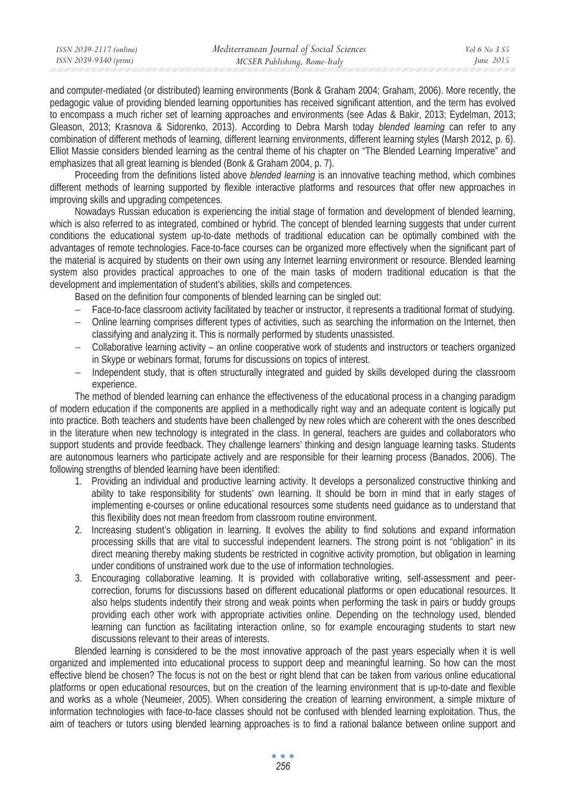| ISSN 2039-2117 (online) | Mediterranean Journal of Social Sciences | Vol 6 No 3 S5 |
|-------------------------|------------------------------------------|---------------|
| ISSN 2039-9340 (print)  | MCSER Publishing, Rome-Italy             | June $2015$   |
|                         |                                          |               |

and computer-mediated (or distributed) learning environments (Bonk & Graham 2004; Graham, 2006). More recently, the pedagogic value of providing blended learning opportunities has received significant attention, and the term has evolved to encompass a much richer set of learning approaches and environments (see Adas & Bakir, 2013; Eydelman, 2013; Gleason, 2013; Krasnova & Sidorenko, 2013). According to Debra Marsh today *blended learning* can refer to any combination of different methods of learning, different learning environments, different learning styles (Marsh 2012, p. 6). Elliot Massie considers blended learning as the central theme of his chapter on "The Blended Learning Imperative" and emphasizes that all great learning is blended (Bonk & Graham 2004, p. 7).

Proceeding from the definitions listed above *blended learning* is an innovative teaching method, which combines different methods of learning supported by flexible interactive platforms and resources that offer new approaches in improving skills and upgrading competences.

Nowadays Russian education is experiencing the initial stage of formation and development of blended learning, which is also referred to as integrated, combined or hybrid. The concept of blended learning suggests that under current conditions the educational system up-to-date methods of traditional education can be optimally combined with the advantages of remote technologies. Face-to-face courses can be organized more effectively when the significant part of the material is acquired by students on their own using any Internet learning environment or resource. Blended learning system also provides practical approaches to one of the main tasks of modern traditional education is that the development and implementation of student's abilities, skills and competences.

Based on the definition four components of blended learning can be singled out:

- − Face-to-face classroom activity facilitated by teacher or instructor, it represents a traditional format of studying.
- − Online learning comprises different types of activities, such as searching the information on the Internet, then classifying and analyzing it. This is normally performed by students unassisted.
- − Collaborative learning activity an online cooperative work of students and instructors or teachers organized in Skype or webinars format, forums for discussions on topics of interest.
- − Independent study, that is often structurally integrated and guided by skills developed during the classroom experience.

The method of blended learning can enhance the effectiveness of the educational process in a changing paradigm of modern education if the components are applied in a methodically right way and an adequate content is logically put into practice. Both teachers and students have been challenged by new roles which are coherent with the ones described in the literature when new technology is integrated in the class. In general, teachers are guides and collaborators who support students and provide feedback. They challenge learners' thinking and design language learning tasks. Students are autonomous learners who participate actively and are responsible for their learning process (Banados, 2006). The following strengths of blended learning have been identified:

- 1. Providing an individual and productive learning activity. It develops a personalized constructive thinking and ability to take responsibility for students' own learning. It should be born in mind that in early stages of implementing e-courses or online educational resources some students need guidance as to understand that this flexibility does not mean freedom from classroom routine environment.
- 2. Increasing student's obligation in learning. It evolves the ability to find solutions and expand information processing skills that are vital to successful independent learners. The strong point is not "obligation" in its direct meaning thereby making students be restricted in cognitive activity promotion, but obligation in learning under conditions of unstrained work due to the use of information technologies.
- 3. Encouraging collaborative learning. It is provided with collaborative writing, self-assessment and peercorrection, forums for discussions based on different educational platforms or open educational resources. It also helps students indentify their strong and weak points when performing the task in pairs or buddy groups providing each other work with appropriate activities online. Depending on the technology used, blended learning can function as facilitating interaction online, so for example encouraging students to start new discussions relevant to their areas of interests.

Blended learning is considered to be the most innovative approach of the past years especially when it is well organized and implemented into educational process to support deep and meaningful learning. So how can the most effective blend be chosen? The focus is not on the best or right blend that can be taken from various online educational platforms or open educational resources, but on the creation of the learning environment that is up-to-date and flexible and works as a whole (Neumeier, 2005). When considering the creation of learning environment, a simple mixture of information technologies with face-to-face classes should not be confused with blended learning exploitation. Thus, the aim of teachers or tutors using blended learning approaches is to find a rational balance between online support and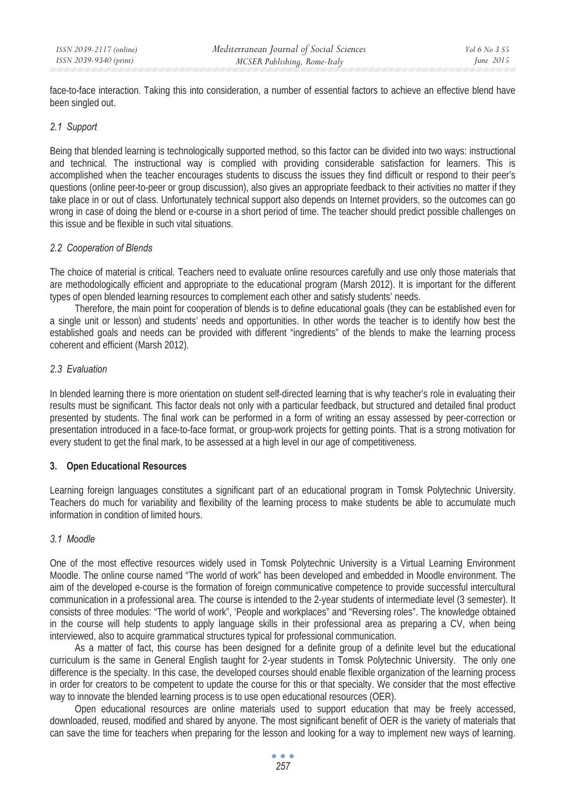face-to-face interaction. Taking this into consideration, a number of essential factors to achieve an effective blend have been singled out.

### *2.1 Support*

Being that blended learning is technologically supported method, so this factor can be divided into two ways: instructional and technical. The instructional way is complied with providing considerable satisfaction for learners. This is accomplished when the teacher encourages students to discuss the issues they find difficult or respond to their peer's questions (online peer-to-peer or group discussion), also gives an appropriate feedback to their activities no matter if they take place in or out of class. Unfortunately technical support also depends on Internet providers, so the outcomes can go wrong in case of doing the blend or e-course in a short period of time. The teacher should predict possible challenges on this issue and be flexible in such vital situations.

### *2.2 Cooperation of Blends*

The choice of material is critical. Teachers need to evaluate online resources carefully and use only those materials that are methodologically efficient and appropriate to the educational program (Marsh 2012). It is important for the different types of open blended learning resources to complement each other and satisfy students' needs.

Therefore, the main point for cooperation of blends is to define educational goals (they can be established even for a single unit or lesson) and students' needs and opportunities. In other words the teacher is to identify how best the established goals and needs can be provided with different "ingredients" of the blends to make the learning process coherent and efficient (Marsh 2012).

## *2.3 Evaluation*

In blended learning there is more orientation on student self-directed learning that is why teacher's role in evaluating their results must be significant. This factor deals not only with a particular feedback, but structured and detailed final product presented by students. The final work can be performed in a form of writing an essay assessed by peer-correction or presentation introduced in a face-to-face format, or group-work projects for getting points. That is a strong motivation for every student to get the final mark, to be assessed at a high level in our age of competitiveness.

#### **3. Open Educational Resources**

Learning foreign languages constitutes a significant part of an educational program in Tomsk Polytechnic University. Teachers do much for variability and flexibility of the learning process to make students be able to accumulate much information in condition of limited hours.

#### *3.1 Moodle*

One of the most effective resources widely used in Tomsk Polytechnic University is a Virtual Learning Environment Moodle. The online course named "The world of work" has been developed and embedded in Moodle environment. The aim of the developed e-course is the formation of foreign communicative competence to provide successful intercultural communication in a professional area. The course is intended to the 2-year students of intermediate level (3 semester). It consists of three modules: "The world of work", 'People and workplaces" and "Reversing roles". The knowledge obtained in the course will help students to apply language skills in their professional area as preparing a CV, when being interviewed, also to acquire grammatical structures typical for professional communication.

As a matter of fact, this course has been designed for a definite group of a definite level but the educational curriculum is the same in General English taught for 2-year students in Tomsk Polytechnic University. The only one difference is the specialty. In this case, the developed courses should enable flexible organization of the learning process in order for creators to be competent to update the course for this or that specialty. We consider that the most effective way to innovate the blended learning process is to use open educational resources (OER).

Open educational resources are online materials used to support education that may be freely accessed, downloaded, reused, modified and shared by anyone. The most significant benefit of OER is the variety of materials that can save the time for teachers when preparing for the lesson and looking for a way to implement new ways of learning.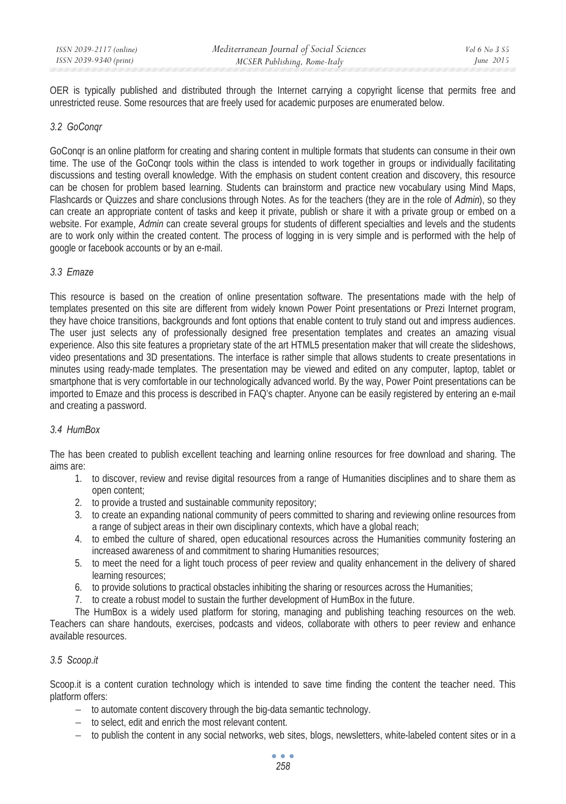OER is typically published and distributed through the Internet carrying a copyright license that permits free and unrestricted reuse. Some resources that are freely used for academic purposes are enumerated below.

## *3.2 GoConqr*

GoConqr is an online platform for creating and sharing content in multiple formats that students can consume in their own time. The use of the GoConqr tools within the class is intended to work together in groups or individually facilitating discussions and testing overall knowledge. With the emphasis on student content creation and discovery, this resource can be chosen for problem based learning. Students can brainstorm and practice new vocabulary using Mind Maps, Flashcards or Quizzes and share conclusions through Notes. As for the teachers (they are in the role of *Admin*), so they can create an appropriate content of tasks and keep it private, publish or share it with a private group or embed on a website. For example, *Admin* can create several groups for students of different specialties and levels and the students are to work only within the created content. The process of logging in is very simple and is performed with the help of google or facebook accounts or by an e-mail.

### *3.3 Emaze*

This resource is based on the creation of online presentation software. The presentations made with the help of templates presented on this site are different from widely known Power Point presentations or Prezi Internet program, they have choice transitions, backgrounds and font options that enable content to truly stand out and impress audiences. The user just selects any of professionally designed free presentation templates and creates an amazing visual experience. Also this site features a proprietary state of the art HTML5 presentation maker that will create the slideshows, video presentations and 3D presentations. The interface is rather simple that allows students to create presentations in minutes using ready-made templates. The presentation may be viewed and edited on any computer, laptop, tablet or smartphone that is very comfortable in our technologically advanced world. By the way, Power Point presentations can be imported to Emaze and this process is described in FAQ's chapter. Anyone can be easily registered by entering an e-mail and creating a password.

### *3.4 HumBox*

The has been created to publish excellent teaching and learning online resources for free download and sharing. The aims are:

- 1. to discover, review and revise digital resources from a range of Humanities disciplines and to share them as open content;
- 2. to provide a trusted and sustainable community repository;
- 3. to create an expanding national community of peers committed to sharing and reviewing online resources from a range of subject areas in their own disciplinary contexts, which have a global reach;
- 4. to embed the culture of shared, open educational resources across the Humanities community fostering an increased awareness of and commitment to sharing Humanities resources;
- 5. to meet the need for a light touch process of peer review and quality enhancement in the delivery of shared learning resources;
- 6. to provide solutions to practical obstacles inhibiting the sharing or resources across the Humanities;
- 7. to create a robust model to sustain the further development of HumBox in the future.

The HumBox is a widely used platform for storing, managing and publishing teaching resources on the web. Teachers can share handouts, exercises, podcasts and videos, collaborate with others to peer review and enhance available resources.

#### *3.5 Scoop.it*

Scoop.it is a content curation technology which is intended to save time finding the content the teacher need. This platform offers:

- − to automate content discovery through the big-data semantic technology.
- − to select, edit and enrich the most relevant content.
- − to publish the content in any social networks, web sites, blogs, newsletters, white-labeled content sites or in a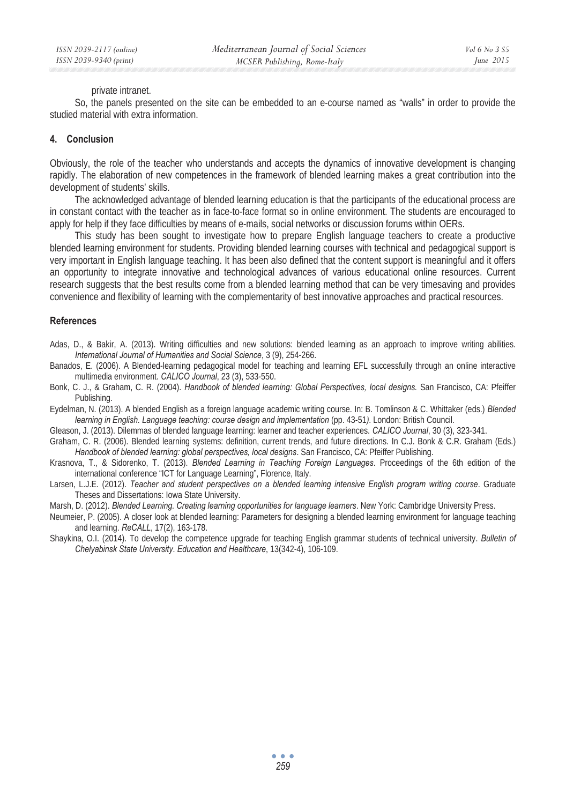#### private intranet.

So, the panels presented on the site can be embedded to an e-course named as "walls" in order to provide the studied material with extra information.

#### **4. Conclusion**

Obviously, the role of the teacher who understands and accepts the dynamics of innovative development is changing rapidly. The elaboration of new competences in the framework of blended learning makes a great contribution into the development of students' skills.

The acknowledged advantage of blended learning education is that the participants of the educational process are in constant contact with the teacher as in face-to-face format so in online environment. The students are encouraged to apply for help if they face difficulties by means of e-mails, social networks or discussion forums within OERs.

This study has been sought to investigate how to prepare English language teachers to create a productive blended learning environment for students. Providing blended learning courses with technical and pedagogical support is very important in English language teaching. It has been also defined that the content support is meaningful and it offers an opportunity to integrate innovative and technological advances of various educational online resources. Current research suggests that the best results come from a blended learning method that can be very timesaving and provides convenience and flexibility of learning with the complementarity of best innovative approaches and practical resources.

#### **References**

Adas, D., & Bakir, A. (2013). Writing difficulties and new solutions: blended learning as an approach to improve writing abilities. *International Journal of Humanities and Social Science*, 3 (9), 254-266.

Banados, E. (2006). A Blended-learning pedagogical model for teaching and learning EFL successfully through an online interactive multimedia environment. *CALICO Journal*, 23 (3), 533-550.

Bonk, C. J., & Graham, C. R. (2004). *Handbook of blended learning: Global Perspectives, local designs.* San Francisco, CA: Pfeiffer Publishing.

Eydelman, N. (2013). A blended English as a foreign language academic writing course. In: B. Tomlinson & C. Whittaker (eds.) *Blended learning in English. Language teaching: course design and implementation (pp. 43-51). London: British Council.* 

Gleason, J. (2013). Dilemmas of blended language learning: learner and teacher experiences. *CALICO Journal*, 30 (3), 323-341.

Graham, C. R. (2006). Blended learning systems: definition, current trends, and future directions. In C.J. Bonk & C.R. Graham (Eds.) *Handbook of blended learning: global perspectives, local designs*. San Francisco, CA: Pfeiffer Publishing.

Krasnova, T., & Sidorenko, T. (2013). *Blended Learning in Teaching Foreign Languages*. Proceedings of the 6th edition of the international conference "ICT for Language Learning", Florence, Italy.

Larsen, L.J.E. (2012). *Teacher and student perspectives on a blended learning intensive English program writing course*. Graduate Theses and Dissertations: Iowa State University.

Marsh, D. (2012). *Blended Learning. Creating learning opportunities for language learners*. New York: Cambridge University Press.

Neumeier, P. (2005). A closer look at blended learning: Parameters for designing a blended learning environment for language teaching and learning. *ReCALL*, 17(2), 163-178.

Shaykina, O.I. (2014). To develop the competence upgrade for teaching English grammar students of technical university. *Bulletin of Chelyabinsk State University*. *Education and Healthcare*, 13(342-4), 106-109.